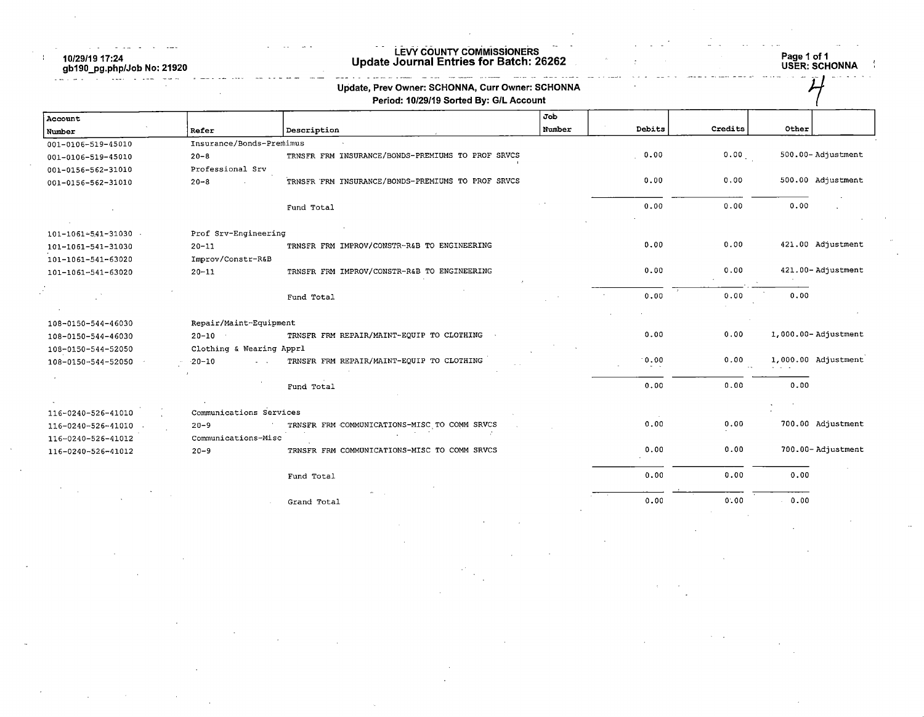| 10/29/19 17:24<br>gb190_pg.php/Job No: 21920 |                                       | LEVY COUNTY COMMISSIONERS<br>Update Journal Entries for Batch: 26262                        |               |        |         | Page 1 of 1<br><b>USER: SCHONNA</b> |
|----------------------------------------------|---------------------------------------|---------------------------------------------------------------------------------------------|---------------|--------|---------|-------------------------------------|
|                                              |                                       | Update, Prev Owner: SCHONNA, Curr Owner: SCHONNA<br>Period: 10/29/19 Sorted By: G/L Account |               |        |         |                                     |
| Account<br>Number                            | Refer                                 | Description                                                                                 | Job<br>Number | Debits | Credits | Other                               |
| 001-0106-519-45010                           | Insurance/Bonds-Premimus              |                                                                                             |               |        |         |                                     |
| 001-0106-519-45010<br>001-0156-562-31010     | $20 - 8$<br>Professional Srv          | TRNSFR FRM INSURANCE/BONDS-PREMIUMS TO PROF SRVCS                                           |               | 0.00   | 0.00    | 500.00-Adjustment                   |
| 001-0156-562-31010                           | $20 - 8$                              | TRNSFR FRM INSURANCE/BONDS-PREMIUMS TO PROF SRVCS                                           |               | 0.00   | 0.00    | 500.00 Adjustment                   |
|                                              |                                       | Fund Total                                                                                  |               | 0.00   | 0.00    | 0.00                                |
|                                              |                                       |                                                                                             |               |        |         |                                     |
| 101-1061-541-31030<br>101-1061-541-31030     | Prof Srv-Engineering<br>$20 - 11$     | TRNSFR FRM IMPROV/CONSTR-R&B TO ENGINEERING                                                 |               | 0.00   | 0.00    | 421.00 Adjustment                   |
| 101-1061-541-63020<br>101-1061-541-63020     | Improv/Constr-R&B<br>$20 - 11$        | TRNSFR FRM IMPROV/CONSTR-R&B TO ENGINEERING                                                 |               | 0.00   | 0.00    | 421.00-Adjustment                   |
|                                              |                                       | Fund Total                                                                                  |               | 0.00   | 0.00    | 0.00                                |
|                                              |                                       |                                                                                             |               |        |         |                                     |
| 108-0150-544-46030                           | Repair/Maint-Equipment                | TRNSFR FRM REPAIR/MAINT-EQUIP TO CLOTHING                                                   |               | 0.00   | 0.00    | 1,000.00-Adjustment                 |
| 108-0150-544-46030<br>108-0150-544-52050     | $20 - 10$<br>Clothing & Wearing Apprl |                                                                                             |               |        |         |                                     |
| 108-0150-544-52050                           | $-20 - 10$                            | TRNSFR FRM REPAIR/MAINT-EQUIP TO CLOTHING                                                   |               | 0.00   | 0.00    | 1,000.00 Adjustment                 |
|                                              |                                       | Fund Total                                                                                  |               | 0.00   | 0.00    | 0.00                                |
|                                              | Communications Services               |                                                                                             |               |        |         |                                     |
| 116-0240-526-41010<br>116-0240-526-41010     | $20 - 9$<br>Communications-Misc       | TRNSFR FRM COMMUNICATIONS-MISC TO COMM SRVCS                                                |               | 0.00   | 0.00    | 700.00 Adjustment                   |
| 116-0240-526-41012<br>116-0240-526-41012     | $20 - 9$                              | TRNSFR FRM COMMUNICATIONS-MISC TO COMM SRVCS                                                |               | 0.00   | 0.00    | 700.00-Adjustment                   |
|                                              |                                       | Fund Total                                                                                  |               | 0.00   | 0.00    | 0.00                                |
|                                              |                                       | Grand Total                                                                                 |               | 0.00   | 0.00    | 0.00                                |
|                                              |                                       |                                                                                             |               |        |         |                                     |
|                                              |                                       |                                                                                             |               |        |         |                                     |
|                                              |                                       |                                                                                             |               |        |         |                                     |

 $\label{eq:2.1} \frac{1}{\sqrt{2}}\int_{\mathbb{R}^3}\frac{1}{\sqrt{2}}\left(\frac{1}{\sqrt{2}}\right)^2\frac{1}{\sqrt{2}}\left(\frac{1}{\sqrt{2}}\right)^2\frac{1}{\sqrt{2}}\left(\frac{1}{\sqrt{2}}\right)^2\frac{1}{\sqrt{2}}\left(\frac{1}{\sqrt{2}}\right)^2.$ 

 $\label{eq:2.1} \frac{1}{\sqrt{2}}\int_{\mathbb{R}^3}\frac{1}{\sqrt{2}}\left(\frac{1}{\sqrt{2}}\right)^2\frac{1}{\sqrt{2}}\left(\frac{1}{\sqrt{2}}\right)^2\frac{1}{\sqrt{2}}\left(\frac{1}{\sqrt{2}}\right)^2\frac{1}{\sqrt{2}}\left(\frac{1}{\sqrt{2}}\right)^2.$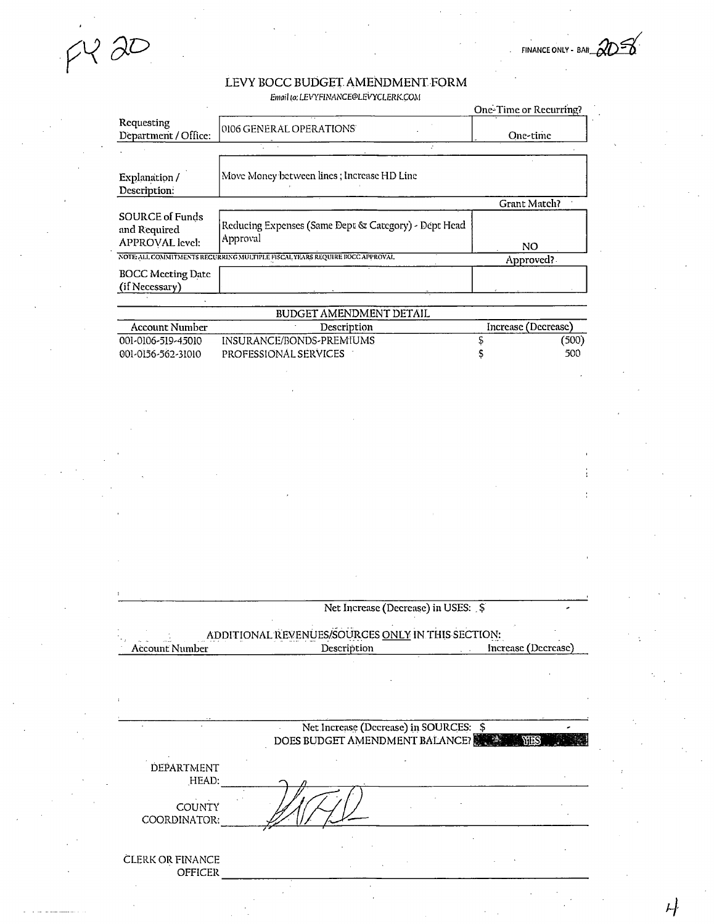FINANCE ONLY - BA#

 $\mathcal{A}$ 

## LEVY BOCC BUDGET AMENDMENT FORM

 $22$ 

Email to: lEX'YHNANCE&LEVYCLERK.COM

|                                                                  |                                                                            | One-Time or Recurring? |
|------------------------------------------------------------------|----------------------------------------------------------------------------|------------------------|
| Requesting<br>Department / Office:                               | 0106 GENERAL OPERATIONS                                                    | One-time               |
|                                                                  |                                                                            |                        |
| Explanation /<br>Description:                                    | Move Money between lines ; Increase HD Line                                |                        |
|                                                                  |                                                                            | Grant Match?           |
| <b>SOURCE of Funds</b><br>and Required<br><b>APPROVAL</b> level: | Reducing Expenses (Same Dept & Category) - Dept Head<br>Approval           | NO.                    |
|                                                                  | NOTE ALL COMMITMENTS RECURRING MULTIPLE FISCAL YEARS REQUIRE BOCC APPROVAL | Approved?              |
| <b>BOCC Meeting Date</b><br>(if Necessary)                       |                                                                            |                        |
|                                                                  |                                                                            |                        |
|                                                                  | <b>BUDGET AMENDMENT DETAIL</b>                                             |                        |

| Description                  | Increase (Decrease) |       |
|------------------------------|---------------------|-------|
| INSURANCE/BONDS-PREMIUMS     |                     | (500) |
| <b>PROFESSIONAL SERVICES</b> |                     | 500   |
|                              |                     |       |

Net Increase (Decrease) in USES: \$

ADDITIONAL REVENUES/SOURCES ONLY IN THIS SECTION: Account Number **Description** Description **Increase (Decrease)** 

|                                    | Net Increase (Decrease) in SOURCES: \$<br>DOES BUDGET AMENDMENT BALANCE? |  |
|------------------------------------|--------------------------------------------------------------------------|--|
| DEPARTMENT<br>HEAD:                |                                                                          |  |
| <b>COUNTY</b><br>COORDINATOR:      |                                                                          |  |
|                                    |                                                                          |  |
| CLERK OR FINANCE<br><b>OFFICER</b> |                                                                          |  |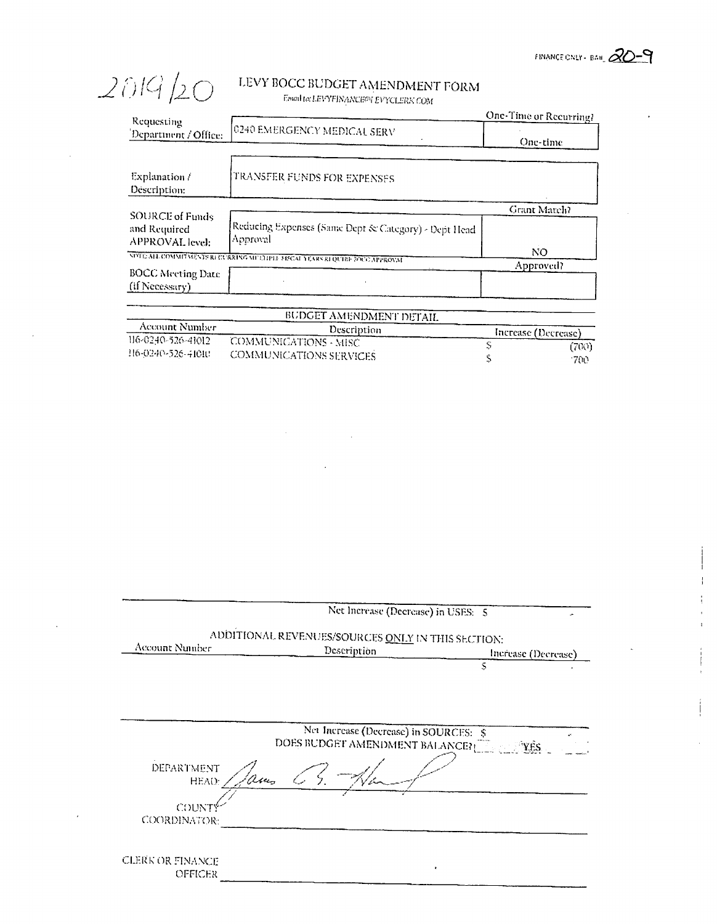# $\begin{minipage}{0.9\linewidth} \textbf{LEVY BOCC BUDGET AMENDMENT FORM} \end{minipage}$

 $2019/20$ 

 $\mathcal{A}$ 

|                                                                  | One-Time or Recurring?                                                              |
|------------------------------------------------------------------|-------------------------------------------------------------------------------------|
| 0240 EMERGENCY MEDICAL SERV                                      | One-time                                                                            |
| TRANSFER FUNDS FOR EXPENSES                                      |                                                                                     |
|                                                                  |                                                                                     |
|                                                                  | Grant Match?                                                                        |
| Reducing Expenses (Same Dept & Category) - Dept Head<br>Approval |                                                                                     |
|                                                                  | NO                                                                                  |
|                                                                  | Approved?                                                                           |
|                                                                  |                                                                                     |
|                                                                  | <b>SINTO ALL COMMITMENTS RECURRING MULTIPLE HISCAL YEARS REQUIRE SINCE APPROVAL</b> |

|                    | <b>BUDULI AMENDMENT DETAIL</b> |                         |
|--------------------|--------------------------------|-------------------------|
| Account Number     | Description                    | - Increase (Decrease) - |
| 116-0240-526-41012 | COMMUNICATIONS - MISC          | (700).                  |
| 116-0240-526-41010 | COMMUNICATIONS SERVICES        | יוחלי                   |

 $\label{eq:2.1} \frac{1}{\sqrt{2}}\sum_{i=1}^n\frac{1}{\sqrt{2}}\left(\frac{1}{\sqrt{2}}\sum_{i=1}^n\frac{1}{\sqrt{2}}\sum_{i=1}^n\frac{1}{\sqrt{2}}\sum_{i=1}^n\frac{1}{\sqrt{2}}\sum_{i=1}^n\frac{1}{\sqrt{2}}\sum_{i=1}^n\frac{1}{\sqrt{2}}\sum_{i=1}^n\frac{1}{\sqrt{2}}\sum_{i=1}^n\frac{1}{\sqrt{2}}\sum_{i=1}^n\frac{1}{\sqrt{2}}\sum_{i=1}^n\frac{1}{\sqrt{2$ 

|                     | Net Increase (Decrease) in USES: 5                                       |                     |
|---------------------|--------------------------------------------------------------------------|---------------------|
|                     | ADDITIONAL REVENUES/SOURCES ONLY IN THIS SECTION:                        |                     |
| Account Number      | Description                                                              | Increase (Decrease) |
|                     |                                                                          | S                   |
|                     |                                                                          |                     |
|                     | Net Increase (Decrease) in SOURCES: \$<br>DOES BUDGET AMENDMENT BALANCE? | YES.                |
| DEPARTMENT<br>HEAD: |                                                                          |                     |
| COUNT               |                                                                          |                     |
| COORDINATOR:        |                                                                          |                     |
| CLERK OR FINANCE    |                                                                          | ٠                   |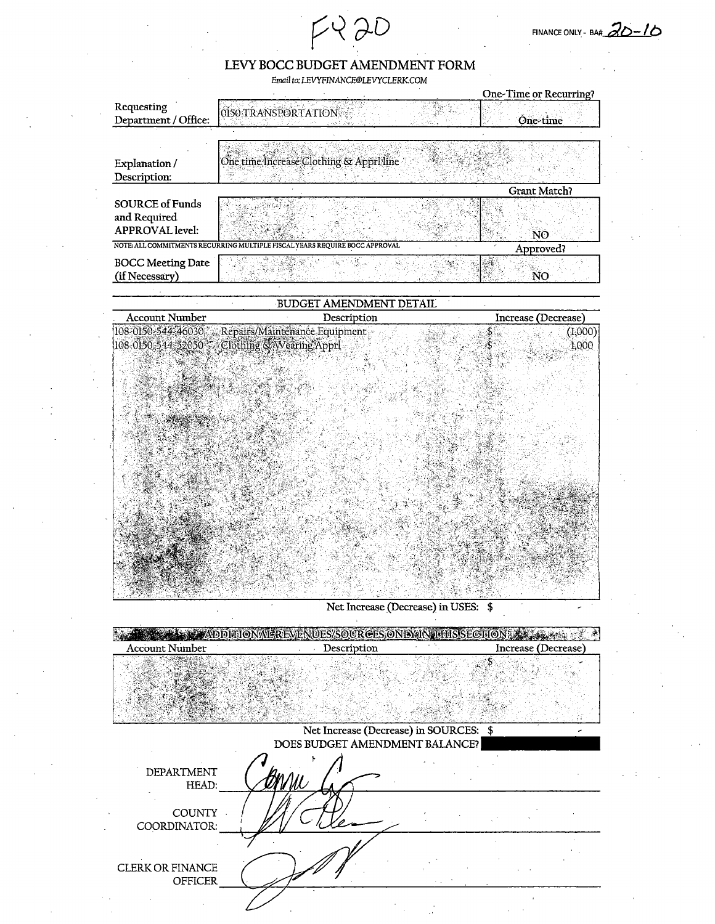

### LEVY BOCC BUDGET AMENDMENT FORM

Email to: LEVYFINANCE@LEVYCLERK.COM

|                                                                  |                                                  | One three of Recurring |
|------------------------------------------------------------------|--------------------------------------------------|------------------------|
| Requesting<br>Department / Office:                               | 0150 TRANSPORTATION                              | One-time               |
|                                                                  |                                                  |                        |
| Explanation /<br>Description:                                    | One time Increase Clothing & Apprilline          |                        |
|                                                                  |                                                  | Grant Match?           |
| <b>SOURCE of Funds</b><br>and Required<br><b>APPROVAL</b> level: |                                                  | <b>NO</b>              |
| NOTE: ALL COMMITMENTS RECURRING MUI                              | LTIPLE FISCAL YEARS REQUIRE BOCC APPROVAL        | Approved?              |
| <b>BOCC Meeting Date</b><br>(if Necessary)                       |                                                  | NO                     |
|                                                                  |                                                  |                        |
|                                                                  | <b>BUDGET AMENDMENT DETAIL</b>                   |                        |
| <b>Account Number</b>                                            | Description                                      | Increase (Decrease)    |
|                                                                  | 108-0150-544-46030 Repairs/Maintenance Equipment | (1,000)                |

108-0150-544 Clothing & Wearing Appr 1.000 2050

Net Increase (Decrease) in USES: \$

**ALCORDITION ALREVENUES/SQURGES ON LYAN THIS SECTION ALCORDI** 港 **Account Number** Description Increase (Decrease) Net Increase (Decrease) in SOURCES: \$<br>DOES BUDGET AMENDMENT BALANCE? **DEPARTMENT** HEAD: **COUNTY** COORDINATOR: CLERK OR FINANCE OFFICER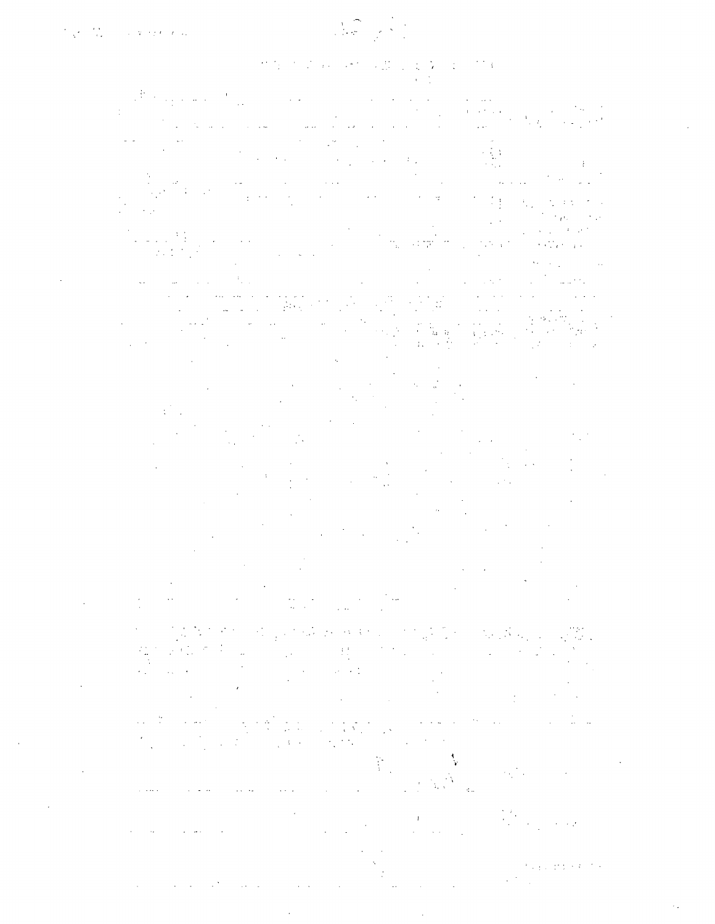## 

#### $\epsilon$   $\epsilon$  .  $\mathbb{C}^{\mathbb{Z}^n}$

 $\label{eq:2.1} \frac{d^2\mathbf{r}}{d\mathbf{r}}\leq \frac{1}{2}\left(1-\frac{1}{2}\left(\mathbf{r}^2+\mathbf{r}^2\right)\right)^{-1}\left(\mathbf{r}^2+\mathbf{r}^2\right)^{-1}\left(\mathbf{r}^2+\mathbf{r}^2\right)^{-1}\left(\mathbf{r}^2+\mathbf{r}^2\right)^{-1}\left(\mathbf{r}^2+\mathbf{r}^2\right)^{-1}\left(\mathbf{r}^2+\mathbf{r}^2\right)^{-1}\left(\mathbf{r}^2+\mathbf{r}^2\right)^{-1}\left(\mathbf{r}^$  $\label{eq:2} \begin{split} \mathcal{L}_{\text{max}}(\mathbf{r}) & = \mathcal{L}_{\text{max}}(\mathbf{r}) \mathcal{L}_{\text{max}}(\mathbf{r}) \\ & = \mathcal{L}_{\text{max}}(\mathbf{r}) \mathcal{L}_{\text{max}}(\mathbf{r}) \mathcal{L}_{\text{max}}(\mathbf{r}) \\ & = \mathcal{L}_{\text{max}}(\mathbf{r}) \mathcal{L}_{\text{max}}(\mathbf{r}) \mathcal{L}_{\text{max}}(\mathbf{r}) \mathcal{L}_{\text{max}}(\mathbf{r}) \mathcal{L}_{\text{max}}(\mathbf{r}) \mathcal{L}_{\text{max}}(\math$  $\label{eq:2} \begin{split} \mathcal{L}^{\text{max}}_{\text{max}}&=\frac{1}{2}\sum_{i=1}^{2}\left(\frac{1}{2}\sum_{i=1}^{2}\left(\frac{1}{2}\right)^{2}+1\right)^{2}}\left(\frac{1}{2}\sum_{i=1}^{2}\left(\frac{1}{2}\right)^{2}+1\right)^{2}\right)^{2}.\end{split}$  $\mathcal{L}_{\text{in}}$  .

 $\hat{\phi}$ 

 $\label{eq:2} \begin{split} \mathcal{F}^{(1)}_{\text{max}}(\mathbf{r},\mathbf{r}) = \frac{1}{2} \sum_{i=1}^{N} \mathcal{F}^{(1)}_{\text{max}}(\mathbf{r},\mathbf{r}) \\ & \times \mathcal{F}^{(1)}_{\text{max}}(\mathbf{r},\mathbf{r}) = \frac{1}{2} \sum_{i=1}^{N} \mathcal{F}^{(1)}_{\text{max}}(\mathbf{r},\mathbf{r}) \\ & \times \mathcal{F}^{(2)}_{\text{max}}(\mathbf{r},\mathbf{r}) = \frac{1}{2} \sum_{i=1}^{N} \mathcal{F}$  $\frac{1}{2} \frac{1}{2} \frac{1}{2} \frac{1}{2} \frac{1}{2} \frac{1}{2} \frac{1}{2} \frac{1}{2} \frac{1}{2}$ 

 $\label{eq:2} \begin{split} \mathcal{A} &= \frac{1}{2} \sum_{i=1}^{N} \frac{1}{2} \left( \frac{1}{2} \sum_{i=1}^{N} \frac{1}{2} \right) \left( \frac{1}{2} \right) \left( \frac{1}{2} \right) \left( \frac{1}{2} \right) \left( \frac{1}{2} \right) \left( \frac{1}{2} \right) \left( \frac{1}{2} \right) \left( \frac{1}{2} \right) \left( \frac{1}{2} \right) \left( \frac{1}{2} \right) \left( \frac{1}{2} \right) \left( \frac{1}{2} \right) \left( \$ 

 $\begin{array}{c} \left(\begin{array}{cc} 1 & 0 \\ 1 & 1 \end{array}\right) & \left(\begin{array}{cc} 1 & 0 \\ 0 & 1 \end{array}\right) \\ \left(\begin{array}{cc} 1 & 0 \\ 0 & 1 \end{array}\right) & \left(\begin{array}{cc} 1 & 0 \\ 0 & 1 \end{array}\right) & \left(\begin{array}{cc} 1 & 0 \\ 0 & 1 \end{array}\right) & \left(\begin{array}{cc} 1 & 0 \\ 0 & 1 \end{array}\right) & \left(\begin{array}{cc} 1 & 0 \\ 0 & 1 \end{array}\right) & \left(\begin{array}{cc} 1 & 0 \\ 0$ 

 $\label{eq:2.1} \begin{split} \mathcal{L}_{\text{max}}(\mathbf{r},\mathbf{r}) = \mathcal{L}_{\text{max}}(\mathbf{r},\mathbf{r}) = \mathcal{L}_{\text{max}}(\mathbf{r},\mathbf{r}) \times \mathcal{L}_{\text{max}}(\mathbf{r},\mathbf{r}) \times \mathcal{L}_{\text{max}}(\mathbf{r},\mathbf{r}) \times \mathcal{L}_{\text{max}}(\mathbf{r},\mathbf{r}) \times \mathcal{L}_{\text{max}}(\mathbf{r},\mathbf{r},\mathbf{r}) \times \mathcal{L}_{\text{max}}(\mathbf{r},\mathbf{r},\mathbf{$ 

 $\frac{\lambda}{\int_{\mathbb{R}^d} \lambda_{\text{max}}^2} = \frac{\lambda_{\text{max}}}{\lambda_{\text{max}}^2} \leq \lambda_{\text{max}}^2$  $\sim 10^{-1}$  $\sim 10^7$  kg  $\hat{L}$  ,  $\hat{L}$  ,  $\hat{R}$  ,

 $\label{eq:2} \begin{split} \mathcal{L}_{\text{max}}(\mathbf{X},\mathbf{X}) = \mathcal{L}_{\text{max}}(\mathbf{X},\mathbf{X}) \mathcal{L}_{\text{max}}(\mathbf{X},\mathbf{X}) \mathcal{L}_{\text{max}}(\mathbf{X},\mathbf{X}) \mathcal{L}_{\text{max}}(\mathbf{X},\mathbf{X}) \mathcal{L}_{\text{max}}(\mathbf{X},\mathbf{X}) \mathcal{L}_{\text{max}}(\mathbf{X},\mathbf{X}) \mathcal{L}_{\text{max}}(\mathbf{X},\mathbf{X}) \mathcal{L}_{\text{max}}(\mathbf{X},\mathbf{X})$  $\label{eq:2} \mathcal{L}_{\text{max}} = \frac{1}{\sqrt{2\pi}} \sum_{i=1}^{N} \frac{1}{\sqrt{2\pi}} \sum_{i=1}^{N} \frac{1}{\sqrt{2\pi}} \sum_{i=1}^{N} \frac{1}{\sqrt{2\pi}} \sum_{i=1}^{N} \frac{1}{\sqrt{2\pi}} \sum_{i=1}^{N} \frac{1}{\sqrt{2\pi}} \sum_{i=1}^{N} \frac{1}{\sqrt{2\pi}} \sum_{i=1}^{N} \frac{1}{\sqrt{2\pi}} \sum_{i=1}^{N} \frac{1}{\sqrt{2\pi}} \sum_{i=1}^{N} \frac{$ 

 $\frac{1}{2} \sum_{i=1}^n \sum_{j=1}^n \frac{1}{j!} \sum_{j=1}^n \sum_{j=1}^n \frac{1}{j!} \sum_{j=1}^n \frac{1}{j!} \sum_{j=1}^n \frac{1}{j!} \sum_{j=1}^n \frac{1}{j!} \sum_{j=1}^n \frac{1}{j!} \sum_{j=1}^n \frac{1}{j!} \sum_{j=1}^n \frac{1}{j!} \sum_{j=1}^n \frac{1}{j!} \sum_{j=1}^n \frac{1}{j!} \sum_{j=1}^n \frac{1}{j!} \sum_{j=1}^$  $\mathcal{L}(\mathcal{A})$  ,  $\mathcal{L}(\mathcal{A})$  , and  $\mathcal{L}(\mathcal{A})$